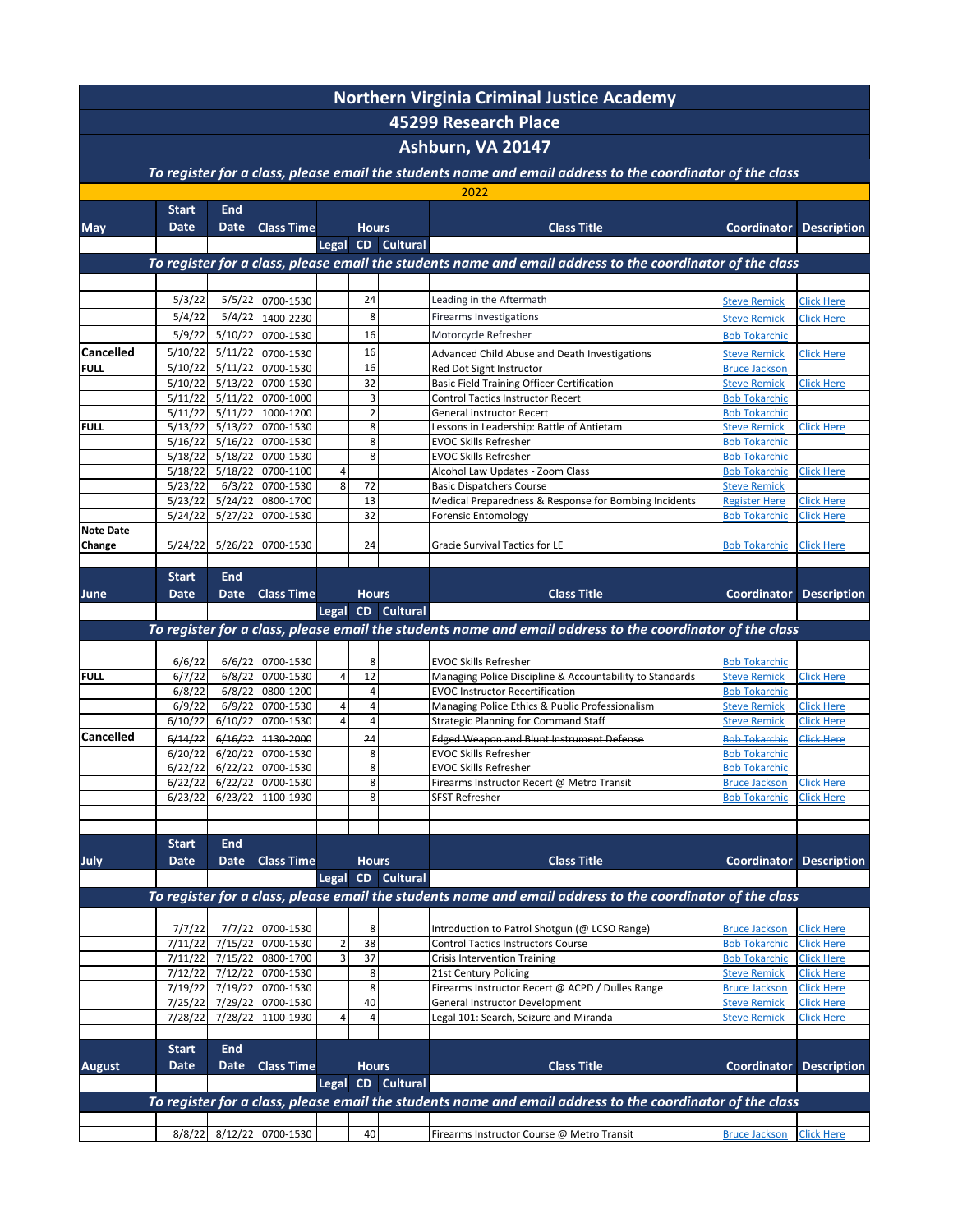| <b>Northern Virginia Criminal Justice Academy</b><br>45299 Research Place<br>Ashburn, VA 20147 |                             |                           |                                |                              |                      |                   |                                                                                                           |                                              |                                        |  |  |  |  |  |  |  |  |                                                                                                           |  |  |  |  |
|------------------------------------------------------------------------------------------------|-----------------------------|---------------------------|--------------------------------|------------------------------|----------------------|-------------------|-----------------------------------------------------------------------------------------------------------|----------------------------------------------|----------------------------------------|--|--|--|--|--|--|--|--|-----------------------------------------------------------------------------------------------------------|--|--|--|--|
|                                                                                                |                             |                           |                                |                              |                      |                   |                                                                                                           |                                              |                                        |  |  |  |  |  |  |  |  |                                                                                                           |  |  |  |  |
|                                                                                                |                             |                           |                                |                              |                      |                   |                                                                                                           |                                              |                                        |  |  |  |  |  |  |  |  | To register for a class, please email the students name and email address to the coordinator of the class |  |  |  |  |
|                                                                                                |                             |                           |                                |                              |                      |                   | 2022                                                                                                      |                                              |                                        |  |  |  |  |  |  |  |  |                                                                                                           |  |  |  |  |
| <b>May</b>                                                                                     | <b>Start</b><br><b>Date</b> | <b>End</b><br><b>Date</b> | <b>Class Time</b>              |                              | <b>Hours</b>         |                   | <b>Class Title</b>                                                                                        | <b>Coordinator</b>                           | <b>Description</b>                     |  |  |  |  |  |  |  |  |                                                                                                           |  |  |  |  |
|                                                                                                |                             |                           |                                |                              |                      | Legal CD Cultural |                                                                                                           |                                              |                                        |  |  |  |  |  |  |  |  |                                                                                                           |  |  |  |  |
|                                                                                                |                             |                           |                                |                              |                      |                   | To register for a class, please email the students name and email address to the coordinator of the class |                                              |                                        |  |  |  |  |  |  |  |  |                                                                                                           |  |  |  |  |
|                                                                                                |                             |                           |                                |                              |                      |                   |                                                                                                           |                                              |                                        |  |  |  |  |  |  |  |  |                                                                                                           |  |  |  |  |
|                                                                                                | 5/3/22                      | 5/5/22                    | 0700-1530                      |                              | 24                   |                   | Leading in the Aftermath                                                                                  | <b>Steve Remick</b>                          | <b>Click Here</b>                      |  |  |  |  |  |  |  |  |                                                                                                           |  |  |  |  |
|                                                                                                | 5/4/22                      | 5/4/22                    | 1400-2230                      |                              | 8                    |                   | Firearms Investigations                                                                                   | <b>Steve Remick</b>                          | <b>Click Here</b>                      |  |  |  |  |  |  |  |  |                                                                                                           |  |  |  |  |
|                                                                                                | 5/9/22                      | 5/10/22                   | 0700-1530                      |                              | 16                   |                   | Motorcycle Refresher                                                                                      | <b>Bob Tokarchic</b>                         |                                        |  |  |  |  |  |  |  |  |                                                                                                           |  |  |  |  |
| Cancelled                                                                                      | 5/10/22                     | 5/11/22                   | 0700-1530                      |                              | 16                   |                   | Advanced Child Abuse and Death Investigations                                                             | <b>Steve Remick</b>                          | <b>Click Here</b>                      |  |  |  |  |  |  |  |  |                                                                                                           |  |  |  |  |
| <b>FULL</b>                                                                                    | 5/10/22<br>5/10/22          | 5/11/22<br>5/13/22        | 0700-1530<br>0700-1530         |                              | 16<br>32             |                   | Red Dot Sight Instructor                                                                                  | <b>Bruce Jackson</b>                         | <b>Click Here</b>                      |  |  |  |  |  |  |  |  |                                                                                                           |  |  |  |  |
|                                                                                                | 5/11/22                     |                           | 5/11/22 0700-1000              |                              | 3                    |                   | Basic Field Training Officer Certification<br>Control Tactics Instructor Recert                           | <b>Steve Remick</b><br><b>Bob Tokarchic</b>  |                                        |  |  |  |  |  |  |  |  |                                                                                                           |  |  |  |  |
|                                                                                                | 5/11/22                     | 5/11/22                   | 1000-1200                      |                              | $\overline{2}$       |                   | General instructor Recert                                                                                 | <b>Bob Tokarchic</b>                         |                                        |  |  |  |  |  |  |  |  |                                                                                                           |  |  |  |  |
| <b>FULL</b>                                                                                    | 5/13/22                     | 5/13/22                   | 0700-1530                      |                              | 8                    |                   | Lessons in Leadership: Battle of Antietam                                                                 | <b>Steve Remick</b>                          | <b>Click Here</b>                      |  |  |  |  |  |  |  |  |                                                                                                           |  |  |  |  |
|                                                                                                | 5/16/22<br>5/18/22          | 5/16/22<br>5/18/22        | 0700-1530<br>0700-1530         |                              | 8<br>8               |                   | <b>EVOC Skills Refresher</b><br><b>EVOC Skills Refresher</b>                                              | <b>Bob Tokarchic</b><br><b>Bob Tokarchic</b> |                                        |  |  |  |  |  |  |  |  |                                                                                                           |  |  |  |  |
|                                                                                                | 5/18/22                     | 5/18/22                   | 0700-1100                      | 4                            |                      |                   | Alcohol Law Updates - Zoom Class                                                                          | <b>Bob Tokarchic</b>                         | <b>Click Here</b>                      |  |  |  |  |  |  |  |  |                                                                                                           |  |  |  |  |
|                                                                                                | 5/23/22                     | 6/3/22                    | 0700-1530                      | 8                            | 72                   |                   | <b>Basic Dispatchers Course</b>                                                                           | <b>Steve Remick</b>                          |                                        |  |  |  |  |  |  |  |  |                                                                                                           |  |  |  |  |
|                                                                                                | 5/23/22<br>5/24/22          | 5/24/22<br>5/27/22        | 0800-1700                      |                              | 13<br>32             |                   | Medical Preparedness & Response for Bombing Incidents                                                     | <b>Register Here</b>                         | <b>Click Here</b>                      |  |  |  |  |  |  |  |  |                                                                                                           |  |  |  |  |
| <b>Note Date</b>                                                                               |                             |                           | 0700-1530                      |                              |                      |                   | <b>Forensic Entomology</b>                                                                                | <b>Bob Tokarchic</b>                         | <b>Click Here</b>                      |  |  |  |  |  |  |  |  |                                                                                                           |  |  |  |  |
| Change                                                                                         | 5/24/22                     |                           | 5/26/22 0700-1530              |                              | 24                   |                   | Gracie Survival Tactics for LE                                                                            | <b>Bob Tokarchic</b>                         | <b>Click Here</b>                      |  |  |  |  |  |  |  |  |                                                                                                           |  |  |  |  |
|                                                                                                |                             |                           |                                |                              |                      |                   |                                                                                                           |                                              |                                        |  |  |  |  |  |  |  |  |                                                                                                           |  |  |  |  |
|                                                                                                | <b>Start</b>                | <b>End</b>                |                                |                              |                      |                   |                                                                                                           |                                              |                                        |  |  |  |  |  |  |  |  |                                                                                                           |  |  |  |  |
| June                                                                                           | <b>Date</b>                 | <b>Date</b>               | <b>Class Time</b>              |                              | <b>Hours</b>         | Legal CD Cultural | <b>Class Title</b>                                                                                        | <b>Coordinator</b>                           | <b>Description</b>                     |  |  |  |  |  |  |  |  |                                                                                                           |  |  |  |  |
|                                                                                                |                             |                           |                                |                              |                      |                   | To register for a class, please email the students name and email address to the coordinator of the class |                                              |                                        |  |  |  |  |  |  |  |  |                                                                                                           |  |  |  |  |
|                                                                                                |                             |                           |                                |                              |                      |                   |                                                                                                           |                                              |                                        |  |  |  |  |  |  |  |  |                                                                                                           |  |  |  |  |
|                                                                                                | 6/6/22                      | 6/6/22                    | 0700-1530                      |                              | 8                    |                   | <b>EVOC Skills Refresher</b>                                                                              | <b>Bob Tokarchic</b>                         |                                        |  |  |  |  |  |  |  |  |                                                                                                           |  |  |  |  |
| <b>FULL</b>                                                                                    | 6/7/22<br>6/8/22            | 6/8/22                    | 6/8/22 0700-1530<br>0800-1200  | 4                            | 12<br>$\overline{4}$ |                   | Managing Police Discipline & Accountability to Standards<br><b>EVOC Instructor Recertification</b>        | <b>Steve Remick</b>                          | <b>Click Here</b>                      |  |  |  |  |  |  |  |  |                                                                                                           |  |  |  |  |
|                                                                                                | 6/9/22                      | 6/9/22                    | 0700-1530                      | 4                            | 4                    |                   | Managing Police Ethics & Public Professionalism                                                           | <b>Bob Tokarchic</b><br><b>Steve Remick</b>  | Click Here                             |  |  |  |  |  |  |  |  |                                                                                                           |  |  |  |  |
|                                                                                                | 6/10/22                     | 6/10/22                   | 0700-1530                      | $\overline{4}$               | 4                    |                   | <b>Strategic Planning for Command Staff</b>                                                               | <b>Steve Remick</b>                          | <b>Click Here</b>                      |  |  |  |  |  |  |  |  |                                                                                                           |  |  |  |  |
| Cancelled                                                                                      | 6/14/22                     | 6/16/22                   | 1130 2000                      |                              | 24                   |                   | Edged Weapon and Blunt Instrument Defense                                                                 | <b>Bob Tokarchie</b>                         | Click Here                             |  |  |  |  |  |  |  |  |                                                                                                           |  |  |  |  |
|                                                                                                | 6/20/22<br>6/22/22          | 6/20/22<br>6/22/22        | 0700-1530<br>0700-1530         |                              | 8<br>8               |                   | <b>EVOC Skills Refresher</b><br><b>EVOC Skills Refresher</b>                                              | <b>Bob Tokarchic</b><br><b>Bob Tokarchic</b> |                                        |  |  |  |  |  |  |  |  |                                                                                                           |  |  |  |  |
|                                                                                                | 6/22/22                     |                           | 6/22/22 0700-1530              |                              | 8                    |                   | Firearms Instructor Recert @ Metro Transit                                                                | <b>Bruce Jackson</b>                         | <b>Click Here</b>                      |  |  |  |  |  |  |  |  |                                                                                                           |  |  |  |  |
|                                                                                                | 6/23/22                     |                           | 6/23/22 1100-1930              |                              | 8                    |                   | <b>SFST Refresher</b>                                                                                     | <b>Bob Tokarchic</b>                         | <b>Click Here</b>                      |  |  |  |  |  |  |  |  |                                                                                                           |  |  |  |  |
|                                                                                                |                             |                           |                                |                              |                      |                   |                                                                                                           |                                              |                                        |  |  |  |  |  |  |  |  |                                                                                                           |  |  |  |  |
|                                                                                                | <b>Start</b>                | <b>End</b>                |                                |                              |                      |                   |                                                                                                           |                                              |                                        |  |  |  |  |  |  |  |  |                                                                                                           |  |  |  |  |
| July                                                                                           | <b>Date</b>                 | <b>Date</b>               | <b>Class Time</b>              |                              | <b>Hours</b>         |                   | <b>Class Title</b>                                                                                        | <b>Coordinator</b>                           | <b>Description</b>                     |  |  |  |  |  |  |  |  |                                                                                                           |  |  |  |  |
|                                                                                                |                             |                           |                                | Legal                        |                      | CD Cultural       |                                                                                                           |                                              |                                        |  |  |  |  |  |  |  |  |                                                                                                           |  |  |  |  |
|                                                                                                |                             |                           |                                |                              |                      |                   | To register for a class, please email the students name and email address to the coordinator of the class |                                              |                                        |  |  |  |  |  |  |  |  |                                                                                                           |  |  |  |  |
|                                                                                                |                             |                           |                                |                              |                      |                   |                                                                                                           |                                              |                                        |  |  |  |  |  |  |  |  |                                                                                                           |  |  |  |  |
|                                                                                                | 7/7/22                      |                           | 7/7/22 0700-1530               |                              | 8                    |                   | Introduction to Patrol Shotgun (@ LCSO Range)                                                             | <b>Bruce Jackson</b>                         | <b>Click Here</b>                      |  |  |  |  |  |  |  |  |                                                                                                           |  |  |  |  |
|                                                                                                | 7/11/22<br>7/11/22          | 7/15/22<br>7/15/22        | 0700-1530<br>0800-1700         | $\overline{\mathbf{c}}$<br>3 | 38<br>37             |                   | <b>Control Tactics Instructors Course</b><br><b>Crisis Intervention Training</b>                          | <b>Bob Tokarchic</b><br><b>Bob Tokarchic</b> | <b>Click Here</b><br><b>Click Here</b> |  |  |  |  |  |  |  |  |                                                                                                           |  |  |  |  |
|                                                                                                | 7/12/22                     | 7/12/22                   | 0700-1530                      |                              | 8                    |                   | 21st Century Policing                                                                                     | <b>Steve Remick</b>                          | <b>Click Here</b>                      |  |  |  |  |  |  |  |  |                                                                                                           |  |  |  |  |
|                                                                                                | 7/19/22                     | 7/19/22                   | 0700-1530                      |                              | 8                    |                   | Firearms Instructor Recert @ ACPD / Dulles Range                                                          | <b>Bruce Jackson</b>                         | <b>Click Here</b>                      |  |  |  |  |  |  |  |  |                                                                                                           |  |  |  |  |
|                                                                                                | 7/25/22<br>7/28/22          | 7/29/22                   | 0700-1530<br>7/28/22 1100-1930 | 4                            | 40<br>4              |                   | General Instructor Development<br>Legal 101: Search, Seizure and Miranda                                  | <b>Steve Remick</b><br><b>Steve Remick</b>   | <b>Click Here</b><br><b>Click Here</b> |  |  |  |  |  |  |  |  |                                                                                                           |  |  |  |  |
|                                                                                                |                             |                           |                                |                              |                      |                   |                                                                                                           |                                              |                                        |  |  |  |  |  |  |  |  |                                                                                                           |  |  |  |  |
|                                                                                                | <b>Start</b>                | <b>End</b>                |                                |                              |                      |                   |                                                                                                           |                                              |                                        |  |  |  |  |  |  |  |  |                                                                                                           |  |  |  |  |
| <b>August</b>                                                                                  | Date                        | Date                      | <b>Class Time</b>              |                              | <b>Hours</b>         |                   | <b>Class Title</b>                                                                                        | <b>Coordinator</b>                           | <b>Description</b>                     |  |  |  |  |  |  |  |  |                                                                                                           |  |  |  |  |
|                                                                                                |                             |                           |                                |                              |                      | Legal CD Cultural |                                                                                                           |                                              |                                        |  |  |  |  |  |  |  |  |                                                                                                           |  |  |  |  |
|                                                                                                |                             |                           |                                |                              |                      |                   | To register for a class, please email the students name and email address to the coordinator of the class |                                              |                                        |  |  |  |  |  |  |  |  |                                                                                                           |  |  |  |  |
|                                                                                                |                             |                           | 8/8/22 8/12/22 0700-1530       |                              | 40                   |                   | Firearms Instructor Course @ Metro Transit                                                                | <b>Bruce Jackson</b>                         | <b>Click Here</b>                      |  |  |  |  |  |  |  |  |                                                                                                           |  |  |  |  |
|                                                                                                |                             |                           |                                |                              |                      |                   |                                                                                                           |                                              |                                        |  |  |  |  |  |  |  |  |                                                                                                           |  |  |  |  |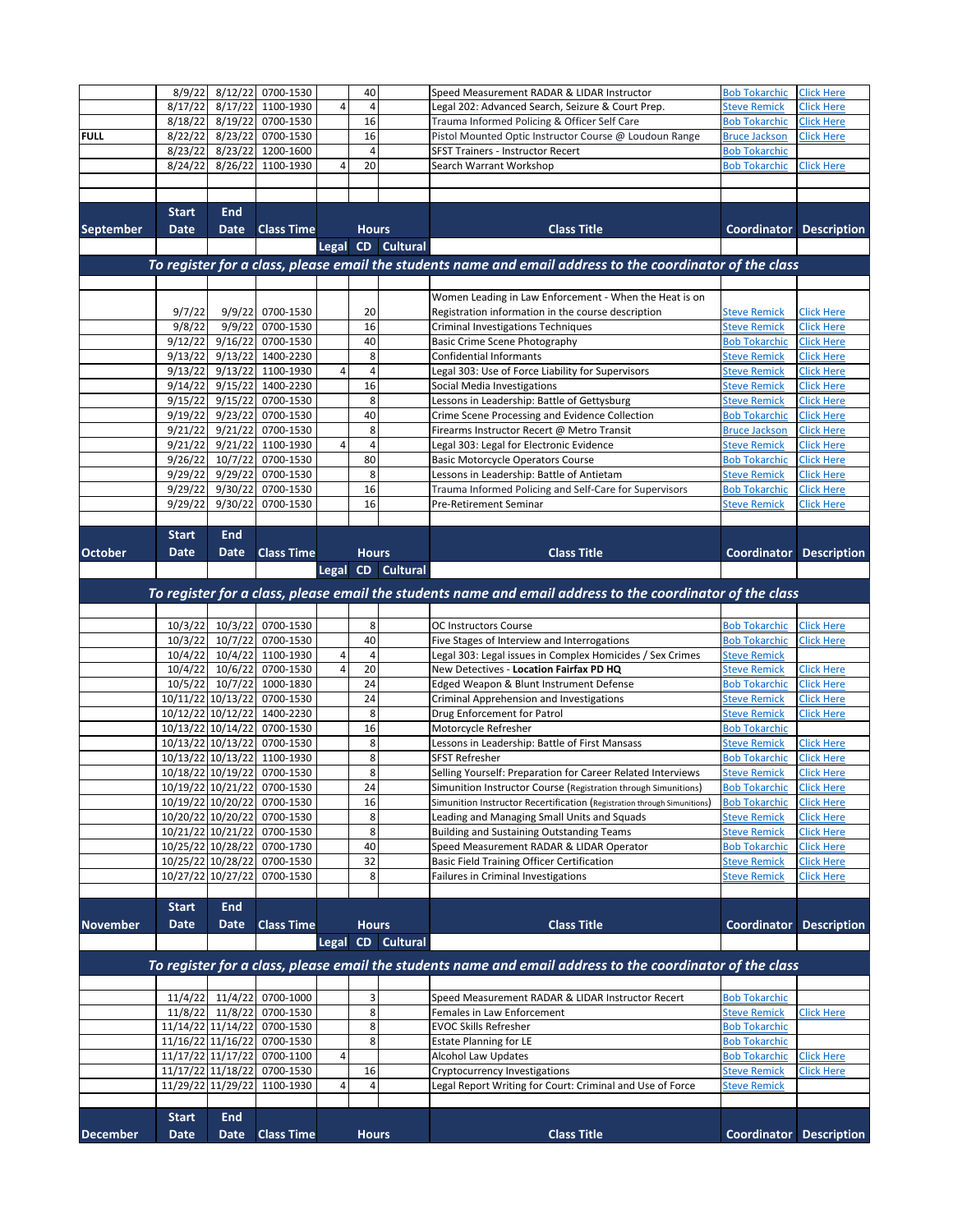|                  | 8/9/22                      | 8/12/22                                | 0700-1530                                                  |            | 40             |                   | Speed Measurement RADAR & LIDAR Instructor                                                                | <b>Bob Tokarchic</b>                         | <b>Click Here</b>                      |
|------------------|-----------------------------|----------------------------------------|------------------------------------------------------------|------------|----------------|-------------------|-----------------------------------------------------------------------------------------------------------|----------------------------------------------|----------------------------------------|
|                  | 8/17/22                     | 8/17/22                                | 1100-1930                                                  | 4          | $\overline{4}$ |                   | Legal 202: Advanced Search, Seizure & Court Prep.                                                         | <b>Steve Remick</b>                          | <b>Click Here</b>                      |
|                  | 8/18/22                     | 8/19/22                                | 0700-1530                                                  |            | 16             |                   | Trauma Informed Policing & Officer Self Care                                                              | <b>Bob Tokarchic</b>                         | <b>Click Here</b>                      |
| <b>FULL</b>      | 8/22/22                     | 8/23/22                                | 0700-1530                                                  |            | 16             |                   | Pistol Mounted Optic Instructor Course @ Loudoun Range                                                    | <b>Bruce Jackson</b>                         | <b>Click Here</b>                      |
|                  | 8/23/22                     |                                        | 8/23/22 1200-1600                                          |            | $\overline{4}$ |                   | SFST Trainers - Instructor Recert                                                                         | <b>Bob Tokarchic</b>                         |                                        |
|                  | 8/24/22                     | 8/26/22                                | 1100-1930                                                  | 4          | 20             |                   | Search Warrant Workshop                                                                                   | <b>Bob Tokarchic</b>                         | <b>Click Here</b>                      |
|                  |                             |                                        |                                                            |            |                |                   |                                                                                                           |                                              |                                        |
|                  |                             |                                        |                                                            |            |                |                   |                                                                                                           |                                              |                                        |
|                  | <b>Start</b>                | <b>End</b>                             |                                                            |            |                |                   |                                                                                                           |                                              |                                        |
| <b>September</b> | <b>Date</b>                 | <b>Date</b>                            | <b>Class Time</b>                                          |            | <b>Hours</b>   |                   | <b>Class Title</b>                                                                                        | <b>Coordinator</b>                           | <b>Description</b>                     |
|                  |                             |                                        |                                                            |            |                | Legal CD Cultural |                                                                                                           |                                              |                                        |
|                  |                             |                                        |                                                            |            |                |                   | To register for a class, please email the students name and email address to the coordinator of the class |                                              |                                        |
|                  |                             |                                        |                                                            |            |                |                   |                                                                                                           |                                              |                                        |
|                  |                             |                                        |                                                            |            |                |                   | Women Leading in Law Enforcement - When the Heat is on                                                    |                                              |                                        |
|                  | 9/7/22                      | 9/9/22                                 | 0700-1530                                                  |            | 20             |                   | Registration information in the course description                                                        | <b>Steve Remick</b>                          | Click Here                             |
|                  | 9/8/22                      | 9/9/22                                 | 0700-1530                                                  |            | 16             |                   | <b>Criminal Investigations Techniques</b>                                                                 | <b>Steve Remick</b>                          | <b>Click Here</b>                      |
|                  | 9/12/22                     | 9/16/22                                | 0700-1530                                                  |            | 40             |                   | <b>Basic Crime Scene Photography</b>                                                                      | <b>Bob Tokarchic</b>                         | <b>Click Here</b>                      |
|                  | 9/13/22                     |                                        | 9/13/22 1400-2230                                          |            | 8              |                   | Confidential Informants                                                                                   | <b>Steve Remick</b>                          | <b>Click Here</b>                      |
|                  | 9/13/22                     |                                        | 9/13/22 1100-1930                                          | 4          | $\sqrt{4}$     |                   | Legal 303: Use of Force Liability for Supervisors                                                         | <u>Steve Remick</u>                          | <b>Click Here</b>                      |
|                  | 9/14/22                     |                                        | 9/15/22 1400-2230                                          |            | 16             |                   | Social Media Investigations                                                                               | <b>Steve Remick</b>                          | <b>Click Here</b>                      |
|                  | 9/15/22                     | 9/15/22                                | 0700-1530                                                  |            | 8              |                   | Lessons in Leadership: Battle of Gettysburg                                                               | <b>Steve Remick</b>                          | <b>Click Here</b>                      |
|                  | 9/19/22                     | 9/23/22                                | 0700-1530                                                  |            | 40             |                   | Crime Scene Processing and Evidence Collection                                                            | <b>Bob Tokarchic</b>                         | <b>Click Here</b>                      |
|                  | 9/21/22                     | 9/21/22                                | 0700-1530                                                  |            | 8              |                   | Firearms Instructor Recert @ Metro Transit                                                                | <b>Bruce Jackson</b>                         | <b>Click Here</b>                      |
|                  | 9/21/22                     | 10/7/22                                | 9/21/22 1100-1930<br>0700-1530                             | 4          | $\overline{4}$ |                   | Legal 303: Legal for Electronic Evidence                                                                  | <b>Steve Remick</b>                          | Click Here                             |
|                  | 9/26/22<br>9/29/22          | 9/29/22                                |                                                            |            | 80<br>8        |                   | <b>Basic Motorcycle Operators Course</b><br>Lessons in Leadership: Battle of Antietam                     | <b>Bob Tokarchic</b>                         | <b>Click Here</b>                      |
|                  | 9/29/22                     | 9/30/22                                | 0700-1530<br>0700-1530                                     |            | 16             |                   | Trauma Informed Policing and Self-Care for Supervisors                                                    | <b>Steve Remick</b><br><b>Bob Tokarchic</b>  | Click Here<br>Click Here               |
|                  | 9/29/22                     | 9/30/22                                | 0700-1530                                                  |            | 16             |                   | Pre-Retirement Seminar                                                                                    | <b>Steve Remick</b>                          | <b>Click Here</b>                      |
|                  |                             |                                        |                                                            |            |                |                   |                                                                                                           |                                              |                                        |
|                  | <b>Start</b>                | <b>End</b>                             |                                                            |            |                |                   |                                                                                                           |                                              |                                        |
| October          | Date                        | <b>Date</b>                            | <b>Class Time</b>                                          |            | <b>Hours</b>   |                   | <b>Class Title</b>                                                                                        | Coordinator                                  | <b>Description</b>                     |
|                  |                             |                                        |                                                            |            |                |                   |                                                                                                           |                                              |                                        |
|                  |                             |                                        |                                                            |            |                | Legal CD Cultural |                                                                                                           |                                              |                                        |
|                  |                             |                                        |                                                            |            |                |                   | To register for a class, please email the students name and email address to the coordinator of the class |                                              |                                        |
|                  |                             |                                        |                                                            |            |                |                   |                                                                                                           |                                              |                                        |
|                  | 10/3/22                     | 10/3/22                                | 0700-1530                                                  |            | 8              |                   | OC Instructors Course                                                                                     | <b>Bob Tokarchic</b>                         | <b>Click Here</b>                      |
|                  |                             |                                        | 10/3/22 10/7/22 0700-1530                                  |            | 40             |                   | Five Stages of Interview and Interrogations                                                               | <b>Bob Tokarchic</b>                         | <b>Click Here</b>                      |
|                  | 10/4/22                     |                                        | 10/4/22 1100-1930                                          | 4          | $\overline{4}$ |                   | Legal 303: Legal issues in Complex Homicides / Sex Crimes                                                 | <b>Steve Remick</b>                          |                                        |
|                  | 10/4/22                     |                                        | 10/6/22 0700-1530                                          | 4          | 20             |                   | New Detectives - Location Fairfax PD HQ                                                                   | <b>Steve Remick</b>                          | <b>Click Here</b>                      |
|                  | 10/5/22                     |                                        | 10/7/22 1000-1830                                          |            | 24             |                   | Edged Weapon & Blunt Instrument Defense                                                                   | <b>Bob Tokarchic</b>                         | <b>Click Here</b>                      |
|                  |                             |                                        | 10/11/22 10/13/22 0700-1530                                |            | 24             |                   | Criminal Apprehension and Investigations                                                                  | <b>Steve Remick</b>                          | <b>Click Here</b>                      |
|                  |                             |                                        | 10/12/22 10/12/22 1400-2230                                |            | 8<br>16        |                   | Drug Enforcement for Patrol                                                                               | <b>Steve Remick</b><br><b>Bob Tokarchic</b>  | <b>Click Here</b>                      |
|                  |                             | 10/13/22 10/14/22<br>10/13/22 10/13/22 | 0700-1530<br>0700-1530                                     |            | 8              |                   | Motorcycle Refresher<br>Lessons in Leadership: Battle of First Mansass                                    |                                              |                                        |
|                  |                             |                                        | 10/13/22 10/13/22 1100-1930                                |            | 8              |                   | <b>SFST Refresher</b>                                                                                     | <b>Steve Remick</b><br><b>Bob Tokarchic</b>  | <b>Click Here</b><br><b>Click Here</b> |
|                  |                             |                                        | 10/18/22 10/19/22 0700-1530                                |            | 8              |                   | Selling Yourself: Preparation for Career Related Interviews                                               | <b>Steve Remick</b>                          | <b>Click Here</b>                      |
|                  |                             |                                        | 10/19/22 10/21/22 0700-1530                                |            | 24             |                   | Simunition Instructor Course (Registration through Simunitions)                                           | <b>Bob Tokarchic</b>                         | <b>Click Here</b>                      |
|                  |                             | 10/19/22 10/20/22                      | 0700-1530                                                  |            | 16             |                   | Simunition Instructor Recertification (Registration through Simunitions)                                  | <b>Bob Tokarchic</b>                         | <b>Click Here</b>                      |
|                  |                             |                                        | 10/20/22 10/20/22 0700-1530                                |            | 8              |                   | Leading and Managing Small Units and Squads                                                               | <b>Steve Remick</b>                          | <b>Click Here</b>                      |
|                  |                             |                                        | 10/21/22 10/21/22 0700-1530                                |            | 8              |                   | <b>Building and Sustaining Outstanding Teams</b>                                                          | <b>Steve Remick</b>                          | <b>Click Here</b>                      |
|                  |                             | 10/25/22 10/28/22                      | 0700-1730                                                  |            | 40             |                   | Speed Measurement RADAR & LIDAR Operator                                                                  | <b>Bob Tokarchic</b>                         | <b>Click Here</b>                      |
|                  |                             | 10/25/22 10/28/22                      | 0700-1530                                                  |            | 32             |                   | <b>Basic Field Training Officer Certification</b>                                                         | <b>Steve Remick</b>                          | <b>Click Here</b>                      |
|                  |                             | 10/27/22 10/27/22                      | 0700-1530                                                  |            | 8              |                   | Failures in Criminal Investigations                                                                       | <b>Steve Remick</b>                          | <b>Click Here</b>                      |
|                  |                             |                                        |                                                            |            |                |                   |                                                                                                           |                                              |                                        |
|                  | <b>Start</b>                | <b>End</b>                             |                                                            |            |                |                   |                                                                                                           |                                              |                                        |
| <b>November</b>  | <b>Date</b>                 | Date                                   | <b>Class Time</b>                                          |            | <b>Hours</b>   |                   | <b>Class Title</b>                                                                                        | Coordinator                                  | <b>Description</b>                     |
|                  |                             |                                        |                                                            |            |                | Legal CD Cultural |                                                                                                           |                                              |                                        |
|                  |                             |                                        |                                                            |            |                |                   |                                                                                                           |                                              |                                        |
|                  |                             |                                        |                                                            |            |                |                   | To register for a class, please email the students name and email address to the coordinator of the class |                                              |                                        |
|                  |                             |                                        |                                                            |            |                |                   |                                                                                                           |                                              |                                        |
|                  | 11/4/22                     |                                        | 11/4/22 0700-1000                                          |            | 3              |                   | Speed Measurement RADAR & LIDAR Instructor Recert                                                         | <b>Bob Tokarchic</b>                         |                                        |
|                  |                             |                                        | 11/8/22 11/8/22 0700-1530                                  |            | 8              |                   | Females in Law Enforcement                                                                                | <b>Steve Remick</b>                          | Click Here                             |
|                  |                             |                                        | 11/14/22 11/14/22 0700-1530                                |            | 8              |                   | <b>EVOC Skills Refresher</b>                                                                              | <b>Bob Tokarchic</b>                         |                                        |
|                  |                             |                                        | 11/16/22 11/16/22 0700-1530<br>11/17/22 11/17/22 0700-1100 | 4          | 8              |                   | <b>Estate Planning for LE</b>                                                                             | <b>Bob Tokarchic</b><br><b>Bob Tokarchic</b> |                                        |
|                  |                             |                                        |                                                            |            |                |                   | <b>Alcohol Law Updates</b>                                                                                |                                              | <b>Click Here</b>                      |
|                  |                             |                                        |                                                            |            |                |                   |                                                                                                           |                                              |                                        |
|                  |                             | 11/17/22 11/18/22                      | 0700-1530                                                  |            | 16             |                   | Cryptocurrency Investigations                                                                             | <b>Steve Remick</b>                          | Click Here                             |
|                  |                             | 11/29/22 11/29/22                      | 1100-1930                                                  | $\sqrt{4}$ | 4              |                   | Legal Report Writing for Court: Criminal and Use of Force                                                 | <b>Steve Remick</b>                          |                                        |
|                  |                             |                                        |                                                            |            |                |                   |                                                                                                           |                                              |                                        |
| <b>December</b>  | <b>Start</b><br><b>Date</b> | <b>End</b><br><b>Date</b>              | <b>Class Time</b>                                          |            | <b>Hours</b>   |                   | <b>Class Title</b>                                                                                        | <b>Coordinator Description</b>               |                                        |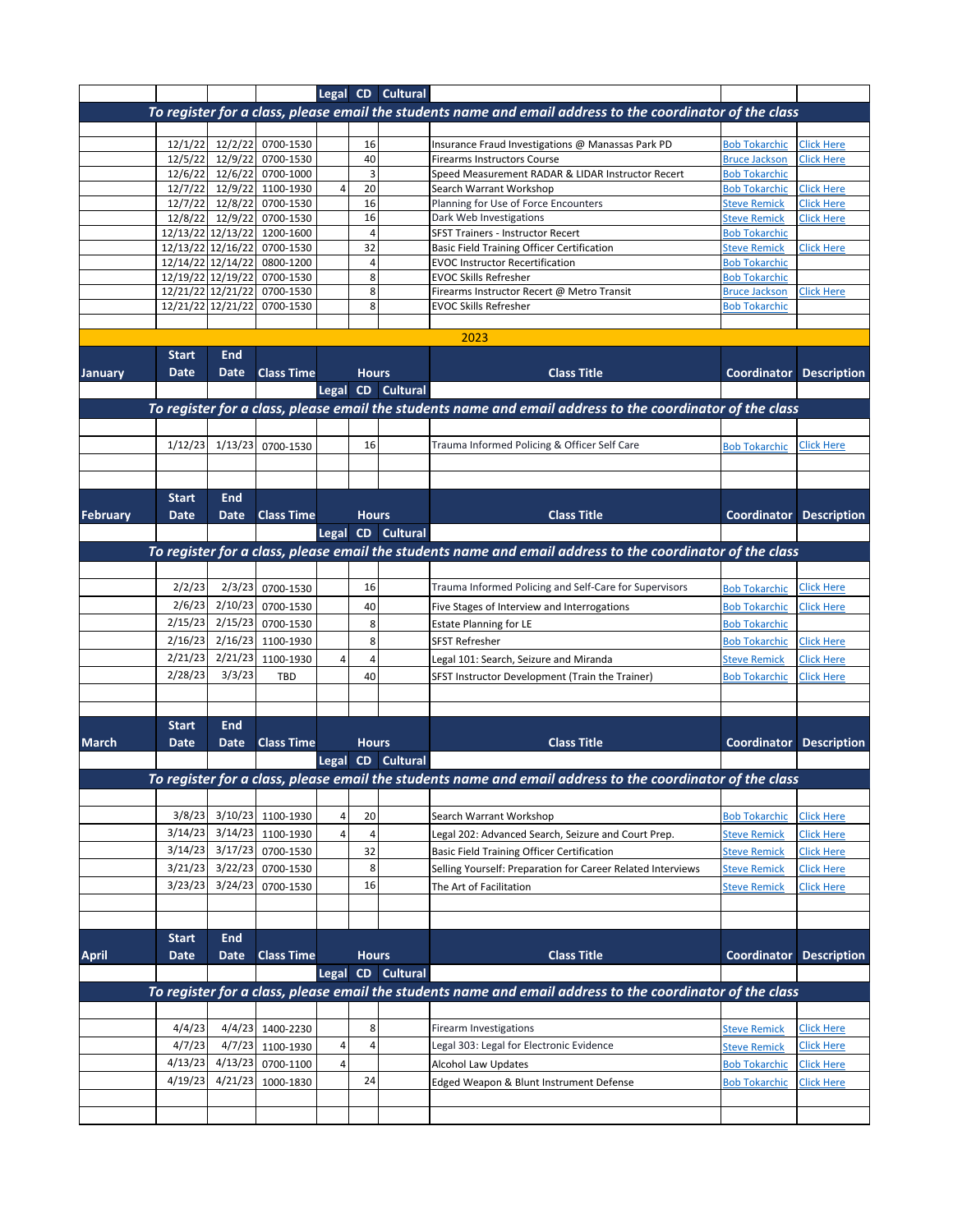|                 |              |                   |                                                          |   |                | Legal CD Cultural |                                                                                                           |                                             |                    |
|-----------------|--------------|-------------------|----------------------------------------------------------|---|----------------|-------------------|-----------------------------------------------------------------------------------------------------------|---------------------------------------------|--------------------|
|                 |              |                   |                                                          |   |                |                   | To register for a class, please email the students name and email address to the coordinator of the class |                                             |                    |
|                 |              |                   |                                                          |   |                |                   |                                                                                                           |                                             |                    |
|                 | 12/1/22      | 12/2/22           | 0700-1530                                                |   | 16             |                   | Insurance Fraud Investigations @ Manassas Park PD                                                         | <b>Bob Tokarchic</b>                        | <b>Click Here</b>  |
|                 |              |                   | 12/5/22 12/9/22 0700-1530                                |   | 40             |                   | <b>Firearms Instructors Course</b>                                                                        | <b>Bruce Jackson</b>                        | <b>Click Here</b>  |
|                 |              |                   | 12/6/22 12/6/22 0700-1000                                |   | $\overline{3}$ |                   | Speed Measurement RADAR & LIDAR Instructor Recert                                                         | <b>Bob Tokarchic</b>                        |                    |
|                 |              |                   | 12/7/22 12/9/22 1100-1930                                | 4 | 20             |                   | Search Warrant Workshop                                                                                   | <b>Bob Tokarchic</b>                        | <b>Click Here</b>  |
|                 |              |                   | 12/7/22 12/8/22 0700-1530                                |   | 16<br>16       |                   | Planning for Use of Force Encounters                                                                      | <b>Steve Remick</b>                         | Click Here         |
|                 |              |                   | 12/8/22 12/9/22 0700-1530<br>12/13/22 12/13/22 1200-1600 |   | $\overline{4}$ |                   | Dark Web Investigations<br>SFST Trainers - Instructor Recert                                              | <b>Steve Remick</b><br><b>Bob Tokarchic</b> | <b>Click Here</b>  |
|                 |              |                   | 12/13/22 12/16/22 0700-1530                              |   | 32             |                   | <b>Basic Field Training Officer Certification</b>                                                         | <b>Steve Remick</b>                         | <b>Click Here</b>  |
|                 |              |                   | 12/14/22 12/14/22 0800-1200                              |   | $\overline{4}$ |                   | <b>EVOC Instructor Recertification</b>                                                                    | <b>Bob Tokarchic</b>                        |                    |
|                 |              | 12/19/22 12/19/22 | 0700-1530                                                |   | 8              |                   | <b>EVOC Skills Refresher</b>                                                                              | <b>Bob Tokarchic</b>                        |                    |
|                 |              |                   | 12/21/22 12/21/22 0700-1530                              |   | 8              |                   | Firearms Instructor Recert @ Metro Transit                                                                | <b>Bruce Jackson</b>                        | <b>Click Here</b>  |
|                 |              | 12/21/22 12/21/22 | 0700-1530                                                |   | 8              |                   | <b>EVOC Skills Refresher</b>                                                                              | <b>Bob Tokarchic</b>                        |                    |
|                 |              |                   |                                                          |   |                |                   |                                                                                                           |                                             |                    |
|                 |              |                   |                                                          |   |                |                   | 2023                                                                                                      |                                             |                    |
|                 | <b>Start</b> | End               |                                                          |   |                |                   |                                                                                                           |                                             |                    |
| January         | <b>Date</b>  | <b>Date</b>       | <b>Class Time</b>                                        |   | <b>Hours</b>   |                   | <b>Class Title</b>                                                                                        | Coordinator                                 | <b>Description</b> |
|                 |              |                   |                                                          |   |                | Legal CD Cultural |                                                                                                           |                                             |                    |
|                 |              |                   |                                                          |   |                |                   | To register for a class, please email the students name and email address to the coordinator of the class |                                             |                    |
|                 |              |                   |                                                          |   |                |                   |                                                                                                           |                                             |                    |
|                 | 1/12/23      | 1/13/23           | 0700-1530                                                |   | 16             |                   | Trauma Informed Policing & Officer Self Care                                                              | <b>Bob Tokarchic</b>                        | <b>Click Here</b>  |
|                 |              |                   |                                                          |   |                |                   |                                                                                                           |                                             |                    |
|                 |              |                   |                                                          |   |                |                   |                                                                                                           |                                             |                    |
|                 | <b>Start</b> | End               |                                                          |   |                |                   |                                                                                                           |                                             |                    |
| <b>February</b> | Date         | <b>Date</b>       | <b>Class Time</b>                                        |   | <b>Hours</b>   |                   | <b>Class Title</b>                                                                                        | Coordinator                                 | <b>Description</b> |
|                 |              |                   |                                                          |   |                | Legal CD Cultural |                                                                                                           |                                             |                    |
|                 |              |                   |                                                          |   |                |                   |                                                                                                           |                                             |                    |
|                 |              |                   |                                                          |   |                |                   | To register for a class, please email the students name and email address to the coordinator of the class |                                             |                    |
|                 |              |                   |                                                          |   |                |                   |                                                                                                           |                                             |                    |
|                 | 2/2/23       | 2/3/23            | 0700-1530                                                |   | 16             |                   | Trauma Informed Policing and Self-Care for Supervisors                                                    | <b>Bob Tokarchic</b>                        | <b>Click Here</b>  |
|                 | 2/6/23       |                   | 2/10/23 0700-1530                                        |   | 40             |                   | Five Stages of Interview and Interrogations                                                               | <b>Bob Tokarchic</b>                        | <b>Click Here</b>  |
|                 | 2/15/23      |                   | 2/15/23 0700-1530                                        |   | 8              |                   | <b>Estate Planning for LE</b>                                                                             | <b>Bob Tokarchic</b>                        |                    |
|                 | 2/16/23      | 2/16/23           | 1100-1930                                                |   | 8              |                   | <b>SFST Refresher</b>                                                                                     | <b>Bob Tokarchic</b>                        | Click Here         |
|                 | 2/21/23      |                   | 2/21/23 1100-1930                                        | 4 |                |                   | Legal 101: Search, Seizure and Miranda                                                                    | <b>Steve Remick</b>                         | Click Here         |
|                 | 2/28/23      | 3/3/23            | <b>TBD</b>                                               |   | 40             |                   | SFST Instructor Development (Train the Trainer)                                                           | <b>Bob Tokarchic</b>                        | <b>Click Here</b>  |
|                 |              |                   |                                                          |   |                |                   |                                                                                                           |                                             |                    |
|                 |              |                   |                                                          |   |                |                   |                                                                                                           |                                             |                    |
|                 | <b>Start</b> | <b>End</b>        |                                                          |   |                |                   |                                                                                                           |                                             |                    |
| <b>March</b>    | Date         | Date              | <b>Class Time</b>                                        |   | <b>Hours</b>   |                   | <b>Class Title</b>                                                                                        | Coordinator                                 | <b>Description</b> |
|                 |              |                   |                                                          |   |                | Legal CD Cultural |                                                                                                           |                                             |                    |
|                 |              |                   |                                                          |   |                |                   | To register for a class, please email the students name and email address to the coordinator of the class |                                             |                    |
|                 |              |                   |                                                          |   |                |                   |                                                                                                           |                                             |                    |
|                 | 3/8/23       |                   | 3/10/23 1100-1930                                        | 4 | 20             |                   | Search Warrant Workshop                                                                                   | <b>Bob Tokarchic</b>                        | <b>Click Here</b>  |
|                 | 3/14/23      |                   | 3/14/23 1100-1930                                        | 4 | $\overline{4}$ |                   | Legal 202: Advanced Search, Seizure and Court Prep.                                                       | <b>Steve Remick</b>                         | <b>Click Here</b>  |
|                 | 3/14/23      |                   | 3/17/23 0700-1530                                        |   | 32             |                   | <b>Basic Field Training Officer Certification</b>                                                         |                                             | <b>Click Here</b>  |
|                 |              |                   |                                                          |   | 8              |                   |                                                                                                           | <b>Steve Remick</b>                         |                    |
|                 | 3/21/23      |                   | 3/22/23 0700-1530                                        |   |                |                   | Selling Yourself: Preparation for Career Related Interviews                                               | <b>Steve Remick</b>                         | <b>Click Here</b>  |
|                 | 3/23/23      | 3/24/23           | 0700-1530                                                |   | 16             |                   | The Art of Facilitation                                                                                   | <b>Steve Remick</b>                         | <b>Click Here</b>  |
|                 |              |                   |                                                          |   |                |                   |                                                                                                           |                                             |                    |
|                 |              |                   |                                                          |   |                |                   |                                                                                                           |                                             |                    |
|                 | <b>Start</b> | <b>End</b>        |                                                          |   |                |                   |                                                                                                           |                                             |                    |
| <b>April</b>    | Date         | Date              | <b>Class Time</b>                                        |   | <b>Hours</b>   |                   | <b>Class Title</b>                                                                                        | Coordinator                                 | <b>Description</b> |
|                 |              |                   |                                                          |   |                | Legal CD Cultural |                                                                                                           |                                             |                    |
|                 |              |                   |                                                          |   |                |                   | To register for a class, please email the students name and email address to the coordinator of the class |                                             |                    |
|                 |              |                   |                                                          |   |                |                   |                                                                                                           |                                             |                    |
|                 | 4/4/23       |                   | 4/4/23 1400-2230                                         |   | 8              |                   | Firearm Investigations                                                                                    | <b>Steve Remick</b>                         | <b>Click Here</b>  |
|                 | 4/7/23       |                   | 4/7/23 1100-1930                                         | 4 |                |                   | Legal 303: Legal for Electronic Evidence                                                                  | <b>Steve Remick</b>                         | <b>Click Here</b>  |
|                 | 4/13/23      |                   | 4/13/23 0700-1100                                        | 4 |                |                   | <b>Alcohol Law Updates</b>                                                                                | <b>Bob Tokarchic</b>                        | <b>Click Here</b>  |
|                 | 4/19/23      |                   | 4/21/23 1000-1830                                        |   | 24             |                   | Edged Weapon & Blunt Instrument Defense                                                                   | <b>Bob Tokarchic</b>                        | <b>Click Here</b>  |
|                 |              |                   |                                                          |   |                |                   |                                                                                                           |                                             |                    |
|                 |              |                   |                                                          |   |                |                   |                                                                                                           |                                             |                    |
|                 |              |                   |                                                          |   |                |                   |                                                                                                           |                                             |                    |